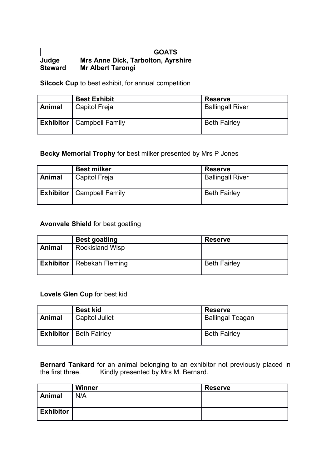#### **GOATS Judge Mrs Anne Dick, Tarbolton, Ayrshire Steward Mr Albert Tarongi**

**Silcock Cup** to best exhibit, for annual competition

|        | <b>Best Exhibit</b>                | <b>Reserve</b>          |
|--------|------------------------------------|-------------------------|
| Animal | Capitol Freja                      | <b>Ballingall River</b> |
|        | <b>Exhibitor</b>   Campbell Family | <b>Beth Fairley</b>     |

# **Becky Memorial Trophy** for best milker presented by Mrs P Jones

|        | <b>Best milker</b>                 | <b>Reserve</b>          |
|--------|------------------------------------|-------------------------|
| Animal | Capitol Freja                      | <b>Ballingall River</b> |
|        | <b>Exhibitor</b>   Campbell Family | <b>Beth Fairley</b>     |

# **Avonvale Shield** for best goatling

|        | <b>Best goatling</b>               | <b>Reserve</b>      |
|--------|------------------------------------|---------------------|
| Animal | <b>Rockisland Wisp</b>             |                     |
|        | <b>Exhibitor</b>   Rebekah Fleming | <b>Beth Fairley</b> |

# **Lovels Glen Cup** for best kid

|        | <b>Best kid</b>                 | <b>Reserve</b>          |
|--------|---------------------------------|-------------------------|
| Animal | <b>Capitol Juliet</b>           | <b>Ballingal Teagan</b> |
|        | <b>Exhibitor</b>   Beth Fairley | <b>Beth Fairley</b>     |

**Bernard Tankard** for an animal belonging to an exhibitor not previously placed in the first three. Kindly presented by Mrs M. Bernard.

|                  | <b>Winner</b> | <b>Reserve</b> |
|------------------|---------------|----------------|
| <b>Animal</b>    | N/A           |                |
| <b>Exhibitor</b> |               |                |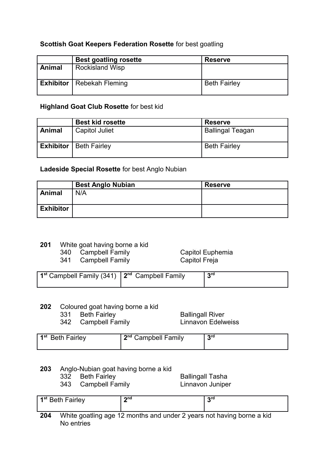# **Scottish Goat Keepers Federation Rosette** for best goatling

|        | <b>Best goatling rosette</b>       | <b>Reserve</b>      |
|--------|------------------------------------|---------------------|
| Animal | <b>Rockisland Wisp</b>             |                     |
|        | <b>Exhibitor</b>   Rebekah Fleming | <b>Beth Fairley</b> |

# **Highland Goat Club Rosette** for best kid

|               | <b>Best kid rosette</b>         | <b>Reserve</b>          |
|---------------|---------------------------------|-------------------------|
| <b>Animal</b> | <b>Capitol Juliet</b>           | <b>Ballingal Teagan</b> |
|               | <b>Exhibitor</b>   Beth Fairley | <b>Beth Fairley</b>     |

### **Ladeside Special Rosette** for best Anglo Nubian

|                  | <b>Best Anglo Nubian</b> | <b>Reserve</b> |
|------------------|--------------------------|----------------|
| <b>Animal</b>    | N/A                      |                |
|                  |                          |                |
| <b>Exhibitor</b> |                          |                |
|                  |                          |                |

# **201** White goat having borne a kid

 $341$  Campbell Family

340 Campbell Family<br>
341 Campbell Family Capitol Freja

| 1 <sup>st</sup> Campbell Family (341) $\vert$ 2 <sup>nd</sup> Campbell Family |  | rd و |
|-------------------------------------------------------------------------------|--|------|
|-------------------------------------------------------------------------------|--|------|

# **202** Coloured goat having borne a kid

342 Campbell Family

331 Beth Fairley **Ballingall River**<br>342 Campbell Family **Ballingall River** 

| 1 <sup>st</sup> Beth Fairley | ond r<br>. .<br>Campbell Family | rd و |
|------------------------------|---------------------------------|------|
|------------------------------|---------------------------------|------|

# **203** Anglo-Nubian goat having borne a kid

- 
- 343 Campbell Family Linnavon Juniper

332 Beth Fairley **Ballingall Tasha** 

|                 | 1 <sup>st</sup> Beth Fairley | ond                                                                   | ord |
|-----------------|------------------------------|-----------------------------------------------------------------------|-----|
|                 |                              |                                                                       |     |
| 20 <sub>A</sub> |                              | White and time and 12 months and under 2 years not having horne a kid |     |

**204** White goatling age 12 months and under 2 years not having borne a kid No entries